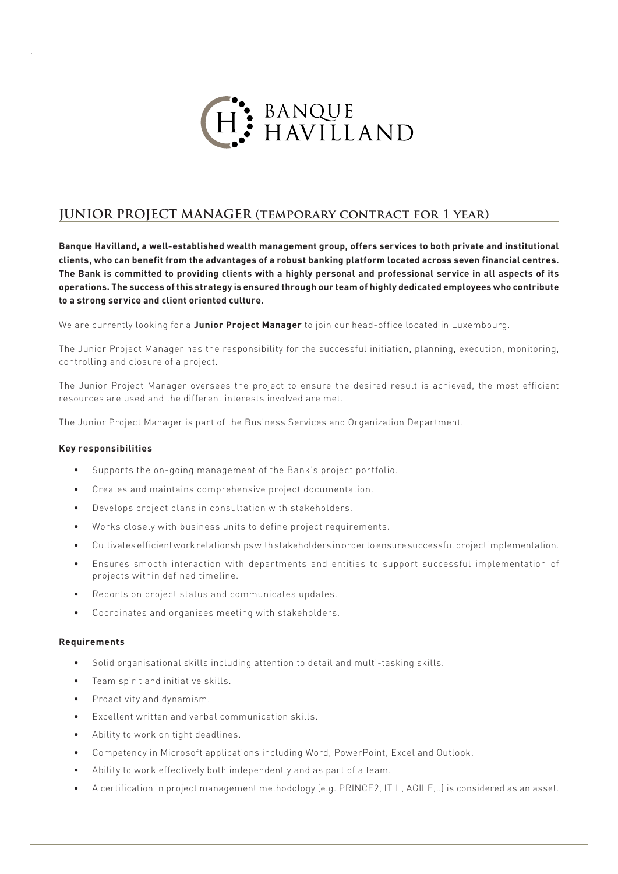

## **JUNIOR PROJECT MANAGER (temporary contract for 1 year)**

**Banque Havilland, a well-established wealth management group, offers services to both private and institutional clients, who can benefit from the advantages of a robust banking platform located across seven financial centres. The Bank is committed to providing clients with a highly personal and professional service in all aspects of its operations. The success of this strategy is ensured through our team of highly dedicated employees who contribute to a strong service and client oriented culture.**

We are currently looking for a **Junior Project Manager** to join our head-office located in Luxembourg.

The Junior Project Manager has the responsibility for the successful initiation, planning, execution, monitoring, controlling and closure of a project.

The Junior Project Manager oversees the project to ensure the desired result is achieved, the most efficient resources are used and the different interests involved are met.

The Junior Project Manager is part of the Business Services and Organization Department.

## **Key responsibilities**

.

- Supports the on-going management of the Bank's project portfolio.
- Creates and maintains comprehensive project documentation.
- Develops project plans in consultation with stakeholders.
- Works closely with business units to define project requirements.
- Cultivates efficient work relationships with stakeholders in order to ensure successful project implementation.
- Ensures smooth interaction with departments and entities to support successful implementation of projects within defined timeline.
- Reports on project status and communicates updates.
- Coordinates and organises meeting with stakeholders.

## **Requirements**

- Solid organisational skills including attention to detail and multi-tasking skills.
- Team spirit and initiative skills.
- Proactivity and dynamism.
- Excellent written and verbal communication skills.
- Ability to work on tight deadlines.
- Competency in Microsoft applications including Word, PowerPoint, Excel and Outlook.
- Ability to work effectively both independently and as part of a team.
- A certification in project management methodology (e.g. PRINCE2, ITIL, AGILE,..) is considered as an asset.